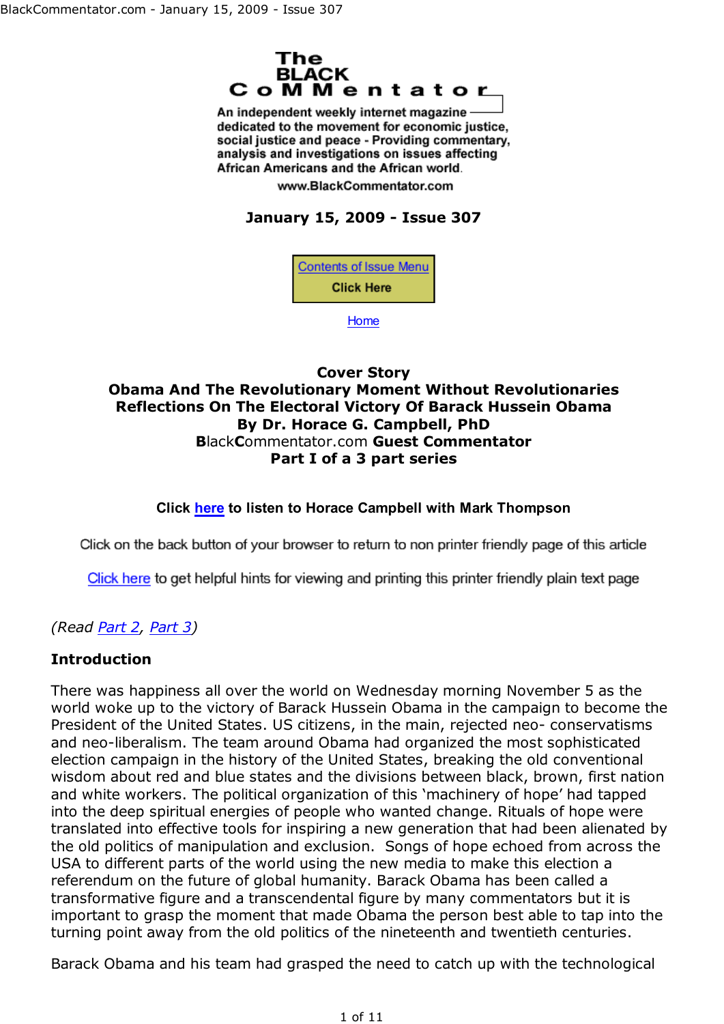

An independent weekly internet magazine dedicated to the movement for economic justice, social justice and peace - Providing commentary, analysis and investigations on issues affecting African Americans and the African world.

www.BlackCommentator.com

# **January 15, 2009 - Issue 307**



Home

#### **Cover Story Obama And The Revolutionary Moment Without Revolutionaries Reflections On The Electoral Victory Of Barack Hussein Obama By Dr. Horace G. Campbell, PhD B**lack**C**ommentator.com **Guest Commentator Part I of a 3 part series**

#### **Click here to listen to Horace Campbell with Mark Thompson**

Click on the back button of your browser to return to non printer friendly page of this article

Click here to get helpful hints for viewing and printing this printer friendly plain text page

## *(Read Part 2, Part 3)*

### **Introduction**

There was happiness all over the world on Wednesday morning November 5 as the world woke up to the victory of Barack Hussein Obama in the campaign to become the President of the United States. US citizens, in the main, rejected neo- conservatisms and neo-liberalism. The team around Obama had organized the most sophisticated election campaign in the history of the United States, breaking the old conventional wisdom about red and blue states and the divisions between black, brown, first nation and white workers. The political organization of this 'machinery of hope' had tapped into the deep spiritual energies of people who wanted change. Rituals of hope were translated into effective tools for inspiring a new generation that had been alienated by the old politics of manipulation and exclusion. Songs of hope echoed from across the USA to different parts of the world using the new media to make this election a referendum on the future of global humanity. Barack Obama has been called a transformative figure and a transcendental figure by many commentators but it is important to grasp the moment that made Obama the person best able to tap into the turning point away from the old politics of the nineteenth and twentieth centuries.

Barack Obama and his team had grasped the need to catch up with the technological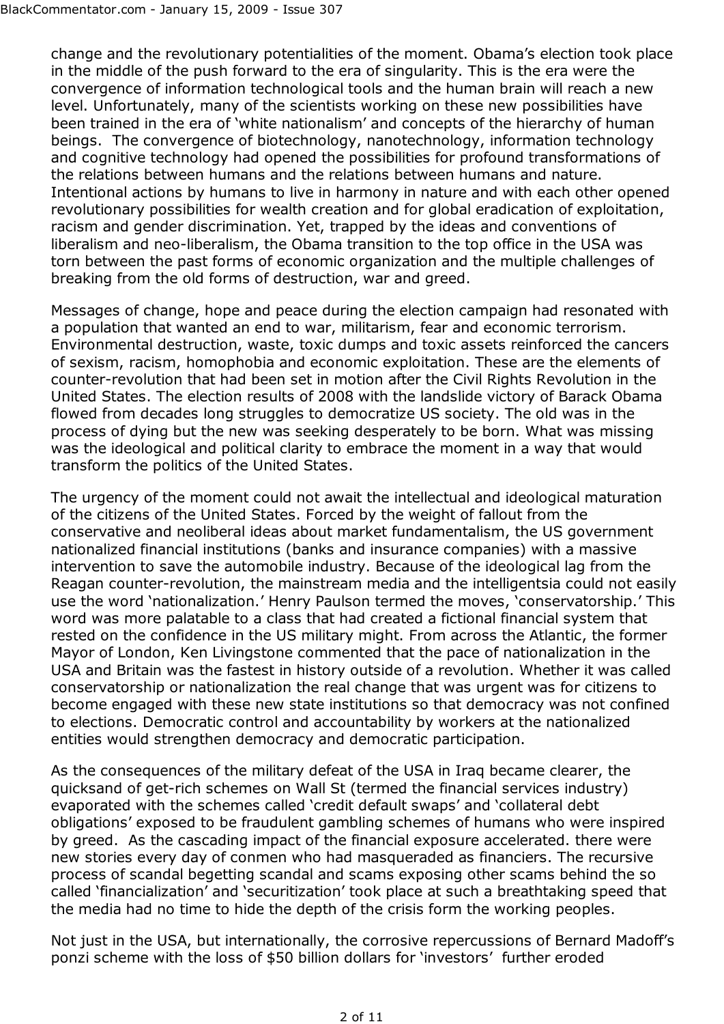change and the revolutionary potentialities of the moment. Obama's election took place in the middle of the push forward to the era of singularity. This is the era were the convergence of information technological tools and the human brain will reach a new level. Unfortunately, many of the scientists working on these new possibilities have been trained in the era of 'white nationalism' and concepts of the hierarchy of human beings. The convergence of biotechnology, nanotechnology, information technology and cognitive technology had opened the possibilities for profound transformations of the relations between humans and the relations between humans and nature. Intentional actions by humans to live in harmony in nature and with each other opened revolutionary possibilities for wealth creation and for global eradication of exploitation, racism and gender discrimination. Yet, trapped by the ideas and conventions of liberalism and neo-liberalism, the Obama transition to the top office in the USA was torn between the past forms of economic organization and the multiple challenges of breaking from the old forms of destruction, war and greed.

Messages of change, hope and peace during the election campaign had resonated with a population that wanted an end to war, militarism, fear and economic terrorism. Environmental destruction, waste, toxic dumps and toxic assets reinforced the cancers of sexism, racism, homophobia and economic exploitation. These are the elements of counter-revolution that had been set in motion after the Civil Rights Revolution in the United States. The election results of 2008 with the landslide victory of Barack Obama flowed from decades long struggles to democratize US society. The old was in the process of dying but the new was seeking desperately to be born. What was missing was the ideological and political clarity to embrace the moment in a way that would transform the politics of the United States.

The urgency of the moment could not await the intellectual and ideological maturation of the citizens of the United States. Forced by the weight of fallout from the conservative and neoliberal ideas about market fundamentalism, the US government nationalized financial institutions (banks and insurance companies) with a massive intervention to save the automobile industry. Because of the ideological lag from the Reagan counter-revolution, the mainstream media and the intelligentsia could not easily use the word 'nationalization.' Henry Paulson termed the moves, 'conservatorship.' This word was more palatable to a class that had created a fictional financial system that rested on the confidence in the US military might. From across the Atlantic, the former Mayor of London, Ken Livingstone commented that the pace of nationalization in the USA and Britain was the fastest in history outside of a revolution. Whether it was called conservatorship or nationalization the real change that was urgent was for citizens to become engaged with these new state institutions so that democracy was not confined to elections. Democratic control and accountability by workers at the nationalized entities would strengthen democracy and democratic participation.

As the consequences of the military defeat of the USA in Iraq became clearer, the quicksand of get-rich schemes on Wall St (termed the financial services industry) evaporated with the schemes called 'credit default swaps' and 'collateral debt obligations' exposed to be fraudulent gambling schemes of humans who were inspired by greed. As the cascading impact of the financial exposure accelerated. there were new stories every day of conmen who had masqueraded as financiers. The recursive process of scandal begetting scandal and scams exposing other scams behind the so called 'financialization' and 'securitization' took place at such a breathtaking speed that the media had no time to hide the depth of the crisis form the working peoples.

Not just in the USA, but internationally, the corrosive repercussions of Bernard Madoff's ponzi scheme with the loss of \$50 billion dollars for 'investors' further eroded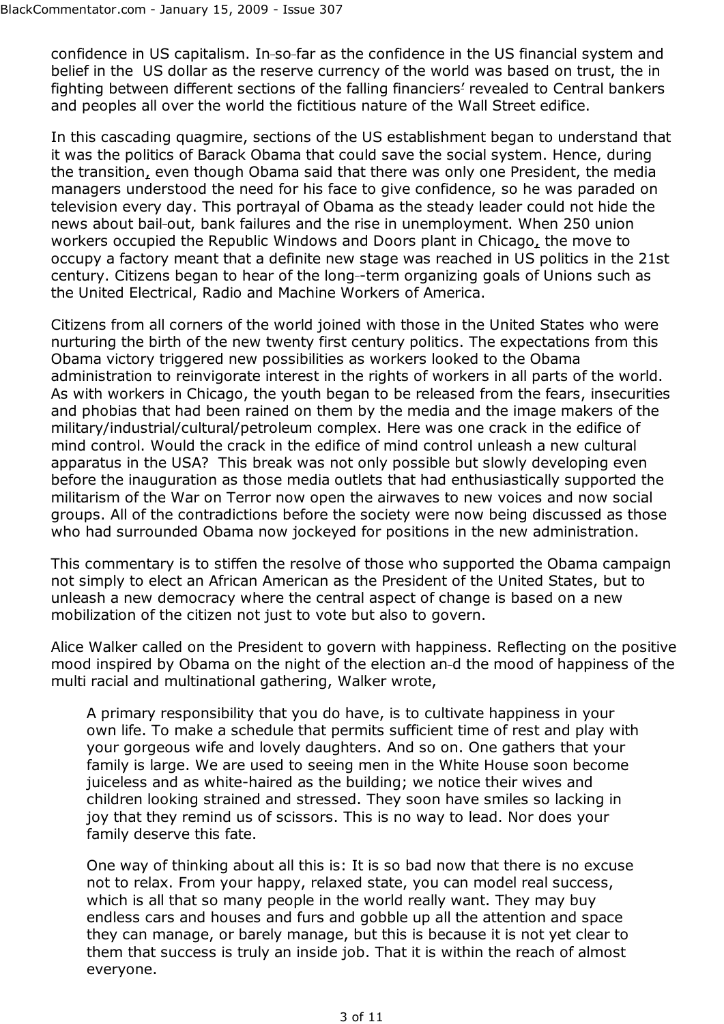confidence in US capitalism. In-so-far as the confidence in the US financial system and belief in the US dollar as the reserve currency of the world was based on trust, the in fighting between different sections of the falling financiers' revealed to Central bankers and peoples all over the world the fictitious nature of the Wall Street edifice.

In this cascading quagmire, sections of the US establishment began to understand that it was the politics of Barack Obama that could save the social system. Hence, during the transition, even though Obama said that there was only one President, the media managers understood the need for his face to give confidence, so he was paraded on television every day. This portrayal of Obama as the steady leader could not hide the news about bail-out, bank failures and the rise in unemployment. When 250 union workers occupied the Republic Windows and Doors plant in Chicago, the move to occupy a factory meant that a definite new stage was reached in US politics in the 21st century. Citizens began to hear of the long -term organizing goals of Unions such as the United Electrical, Radio and Machine Workers of America.

Citizens from all corners of the world joined with those in the United States who were nurturing the birth of the new twenty first century politics. The expectations from this Obama victory triggered new possibilities as workers looked to the Obama administration to reinvigorate interest in the rights of workers in all parts of the world. As with workers in Chicago, the youth began to be released from the fears, insecurities and phobias that had been rained on them by the media and the image makers of the military/industrial/cultural/petroleum complex. Here was one crack in the edifice of mind control. Would the crack in the edifice of mind control unleash a new cultural apparatus in the USA? This break was not only possible but slowly developing even before the inauguration as those media outlets that had enthusiastically supported the militarism of the War on Terror now open the airwaves to new voices and now social groups. All of the contradictions before the society were now being discussed as those who had surrounded Obama now jockeyed for positions in the new administration.

This commentary is to stiffen the resolve of those who supported the Obama campaign not simply to elect an African American as the President of the United States, but to unleash a new democracy where the central aspect of change is based on a new mobilization of the citizen not just to vote but also to govern.

Alice Walker called on the President to govern with happiness. Reflecting on the positive mood inspired by Obama on the night of the election an d the mood of happiness of the multi racial and multinational gathering, Walker wrote,

A primary responsibility that you do have, is to cultivate happiness in your own life. To make a schedule that permits sufficient time of rest and play with your gorgeous wife and lovely daughters. And so on. One gathers that your family is large. We are used to seeing men in the White House soon become juiceless and as white-haired as the building; we notice their wives and children looking strained and stressed. They soon have smiles so lacking in joy that they remind us of scissors. This is no way to lead. Nor does your family deserve this fate.

One way of thinking about all this is: It is so bad now that there is no excuse not to relax. From your happy, relaxed state, you can model real success, which is all that so many people in the world really want. They may buy endless cars and houses and furs and gobble up all the attention and space they can manage, or barely manage, but this is because it is not yet clear to them that success is truly an inside job. That it is within the reach of almost everyone.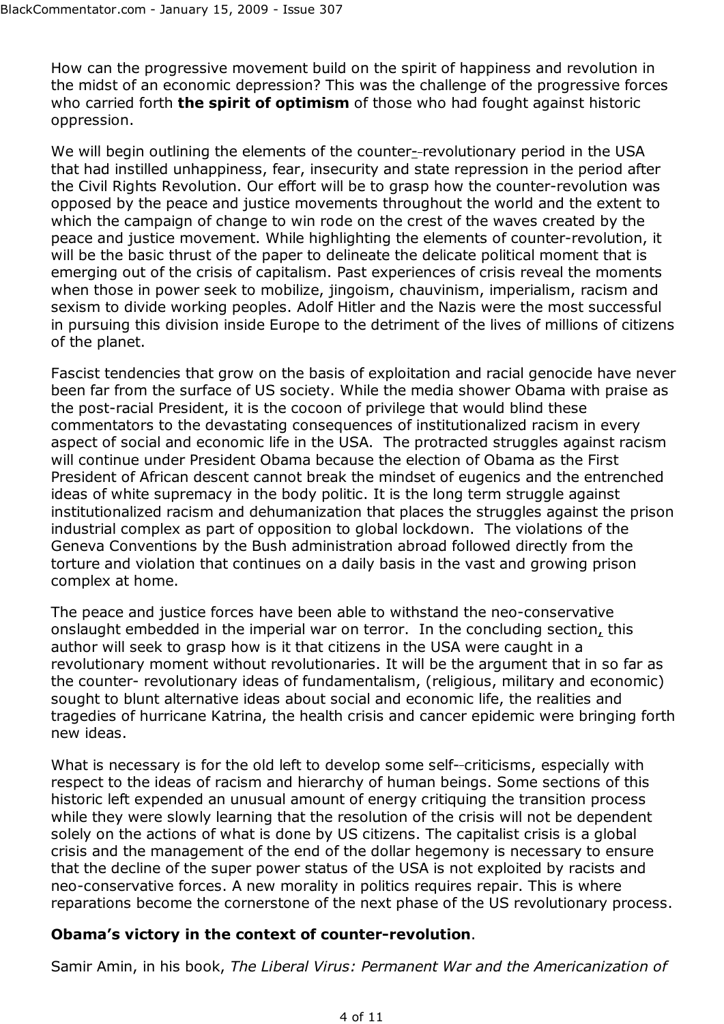How can the progressive movement build on the spirit of happiness and revolution in the midst of an economic depression? This was the challenge of the progressive forces who carried forth **the spirit of optimism** of those who had fought against historic oppression.

We will begin outlining the elements of the counter-revolutionary period in the USA that had instilled unhappiness, fear, insecurity and state repression in the period after the Civil Rights Revolution. Our effort will be to grasp how the counter-revolution was opposed by the peace and justice movements throughout the world and the extent to which the campaign of change to win rode on the crest of the waves created by the peace and justice movement. While highlighting the elements of counter-revolution, it will be the basic thrust of the paper to delineate the delicate political moment that is emerging out of the crisis of capitalism. Past experiences of crisis reveal the moments when those in power seek to mobilize, jingoism, chauvinism, imperialism, racism and sexism to divide working peoples. Adolf Hitler and the Nazis were the most successful in pursuing this division inside Europe to the detriment of the lives of millions of citizens of the planet.

Fascist tendencies that grow on the basis of exploitation and racial genocide have never been far from the surface of US society. While the media shower Obama with praise as the post-racial President, it is the cocoon of privilege that would blind these commentators to the devastating consequences of institutionalized racism in every aspect of social and economic life in the USA. The protracted struggles against racism will continue under President Obama because the election of Obama as the First President of African descent cannot break the mindset of eugenics and the entrenched ideas of white supremacy in the body politic. It is the long term struggle against institutionalized racism and dehumanization that places the struggles against the prison industrial complex as part of opposition to global lockdown. The violations of the Geneva Conventions by the Bush administration abroad followed directly from the torture and violation that continues on a daily basis in the vast and growing prison complex at home.

The peace and justice forces have been able to withstand the neo-conservative onslaught embedded in the imperial war on terror. In the concluding section, this author will seek to grasp how is it that citizens in the USA were caught in a revolutionary moment without revolutionaries. It will be the argument that in so far as the counter- revolutionary ideas of fundamentalism, (religious, military and economic) sought to blunt alternative ideas about social and economic life, the realities and tragedies of hurricane Katrina, the health crisis and cancer epidemic were bringing forth new ideas.

What is necessary is for the old left to develop some self--criticisms, especially with respect to the ideas of racism and hierarchy of human beings. Some sections of this historic left expended an unusual amount of energy critiquing the transition process while they were slowly learning that the resolution of the crisis will not be dependent solely on the actions of what is done by US citizens. The capitalist crisis is a global crisis and the management of the end of the dollar hegemony is necessary to ensure that the decline of the super power status of the USA is not exploited by racists and neo-conservative forces. A new morality in politics requires repair. This is where reparations become the cornerstone of the next phase of the US revolutionary process.

### **Obama's victory in the context of counter-revolution**.

Samir Amin, in his book, *The Liberal Virus: Permanent War and the Americanization of*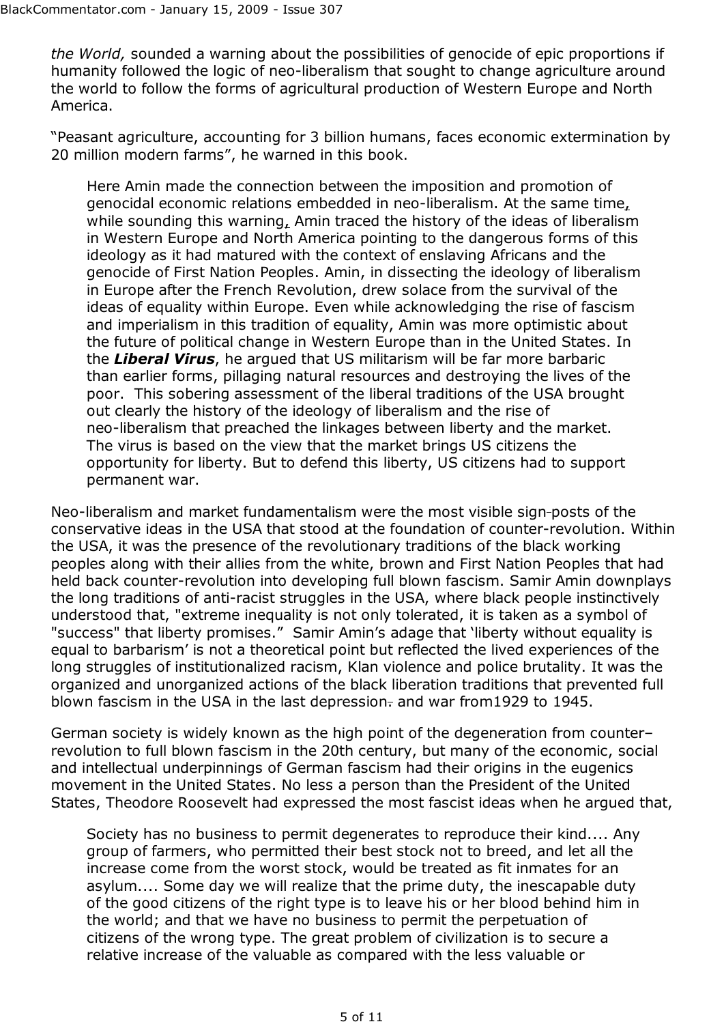*the World,* sounded a warning about the possibilities of genocide of epic proportions if humanity followed the logic of neo-liberalism that sought to change agriculture around the world to follow the forms of agricultural production of Western Europe and North America.

"Peasant agriculture, accounting for 3 billion humans, faces economic extermination by 20 million modern farms", he warned in this book.

Here Amin made the connection between the imposition and promotion of genocidal economic relations embedded in neo-liberalism. At the same time, while sounding this warning, Amin traced the history of the ideas of liberalism in Western Europe and North America pointing to the dangerous forms of this ideology as it had matured with the context of enslaving Africans and the genocide of First Nation Peoples. Amin, in dissecting the ideology of liberalism in Europe after the French Revolution, drew solace from the survival of the ideas of equality within Europe. Even while acknowledging the rise of fascism and imperialism in this tradition of equality, Amin was more optimistic about the future of political change in Western Europe than in the United States. In the *Liberal Virus*, he argued that US militarism will be far more barbaric than earlier forms, pillaging natural resources and destroying the lives of the poor. This sobering assessment of the liberal traditions of the USA brought out clearly the history of the ideology of liberalism and the rise of neo-liberalism that preached the linkages between liberty and the market. The virus is based on the view that the market brings US citizens the opportunity for liberty. But to defend this liberty, US citizens had to support permanent war.

Neo-liberalism and market fundamentalism were the most visible sign-posts of the conservative ideas in the USA that stood at the foundation of counter-revolution. Within the USA, it was the presence of the revolutionary traditions of the black working peoples along with their allies from the white, brown and First Nation Peoples that had held back counter-revolution into developing full blown fascism. Samir Amin downplays the long traditions of anti-racist struggles in the USA, where black people instinctively understood that, "extreme inequality is not only tolerated, it is taken as a symbol of "success" that liberty promises." Samir Amin's adage that 'liberty without equality is equal to barbarism' is not a theoretical point but reflected the lived experiences of the long struggles of institutionalized racism, Klan violence and police brutality. It was the organized and unorganized actions of the black liberation traditions that prevented full blown fascism in the USA in the last depression. and war from 1929 to 1945.

German society is widely known as the high point of the degeneration from counter– revolution to full blown fascism in the 20th century, but many of the economic, social and intellectual underpinnings of German fascism had their origins in the eugenics movement in the United States. No less a person than the President of the United States, Theodore Roosevelt had expressed the most fascist ideas when he argued that,

Society has no business to permit degenerates to reproduce their kind.... Any group of farmers, who permitted their best stock not to breed, and let all the increase come from the worst stock, would be treated as fit inmates for an asylum.... Some day we will realize that the prime duty, the inescapable duty of the good citizens of the right type is to leave his or her blood behind him in the world; and that we have no business to permit the perpetuation of citizens of the wrong type. The great problem of civilization is to secure a relative increase of the valuable as compared with the less valuable or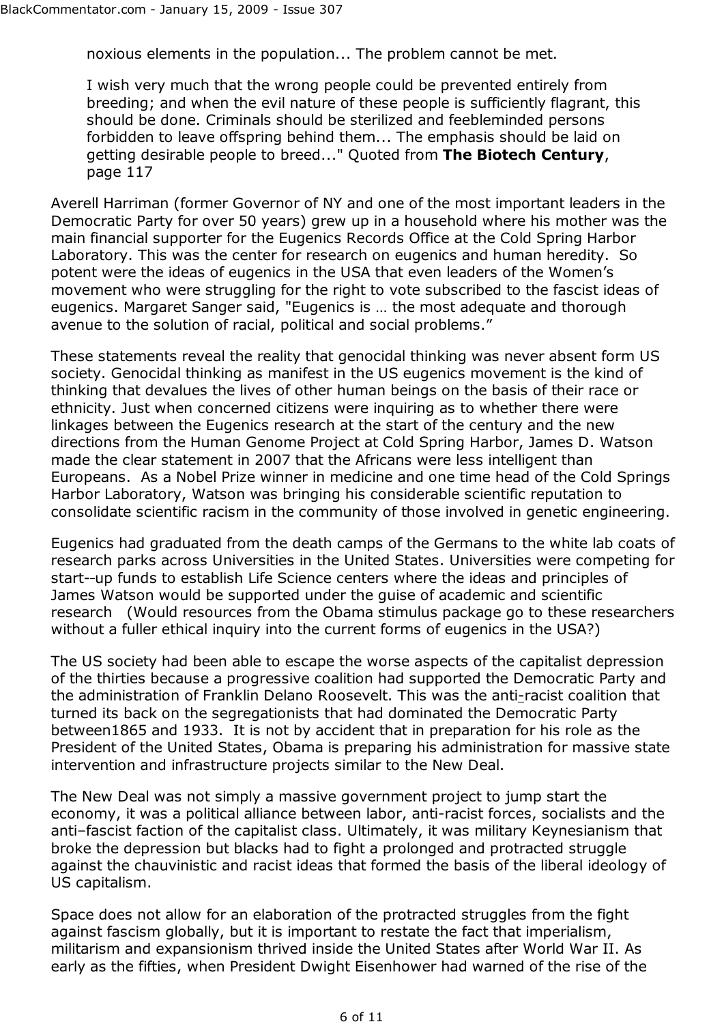noxious elements in the population... The problem cannot be met.

I wish very much that the wrong people could be prevented entirely from breeding; and when the evil nature of these people is sufficiently flagrant, this should be done. Criminals should be sterilized and feebleminded persons forbidden to leave offspring behind them... The emphasis should be laid on getting desirable people to breed..." Quoted from **The Biotech Century**, page 117

Averell Harriman (former Governor of NY and one of the most important leaders in the Democratic Party for over 50 years) grew up in a household where his mother was the main financial supporter for the Eugenics Records Office at the Cold Spring Harbor Laboratory. This was the center for research on eugenics and human heredity. So potent were the ideas of eugenics in the USA that even leaders of the Women's movement who were struggling for the right to vote subscribed to the fascist ideas of eugenics. Margaret Sanger said, "Eugenics is … the most adequate and thorough avenue to the solution of racial, political and social problems."

These statements reveal the reality that genocidal thinking was never absent form US society. Genocidal thinking as manifest in the US eugenics movement is the kind of thinking that devalues the lives of other human beings on the basis of their race or ethnicity. Just when concerned citizens were inquiring as to whether there were linkages between the Eugenics research at the start of the century and the new directions from the Human Genome Project at Cold Spring Harbor, James D. Watson made the clear statement in 2007 that the Africans were less intelligent than Europeans. As a Nobel Prize winner in medicine and one time head of the Cold Springs Harbor Laboratory, Watson was bringing his considerable scientific reputation to consolidate scientific racism in the community of those involved in genetic engineering.

Eugenics had graduated from the death camps of the Germans to the white lab coats of research parks across Universities in the United States. Universities were competing for start- up funds to establish Life Science centers where the ideas and principles of James Watson would be supported under the guise of academic and scientific research (Would resources from the Obama stimulus package go to these researchers without a fuller ethical inquiry into the current forms of eugenics in the USA?)

The US society had been able to escape the worse aspects of the capitalist depression of the thirties because a progressive coalition had supported the Democratic Party and the administration of Franklin Delano Roosevelt. This was the anti-racist coalition that turned its back on the segregationists that had dominated the Democratic Party between1865 and 1933. It is not by accident that in preparation for his role as the President of the United States, Obama is preparing his administration for massive state intervention and infrastructure projects similar to the New Deal.

The New Deal was not simply a massive government project to jump start the economy, it was a political alliance between labor, anti-racist forces, socialists and the anti–fascist faction of the capitalist class. Ultimately, it was military Keynesianism that broke the depression but blacks had to fight a prolonged and protracted struggle against the chauvinistic and racist ideas that formed the basis of the liberal ideology of US capitalism.

Space does not allow for an elaboration of the protracted struggles from the fight against fascism globally, but it is important to restate the fact that imperialism, militarism and expansionism thrived inside the United States after World War II. As early as the fifties, when President Dwight Eisenhower had warned of the rise of the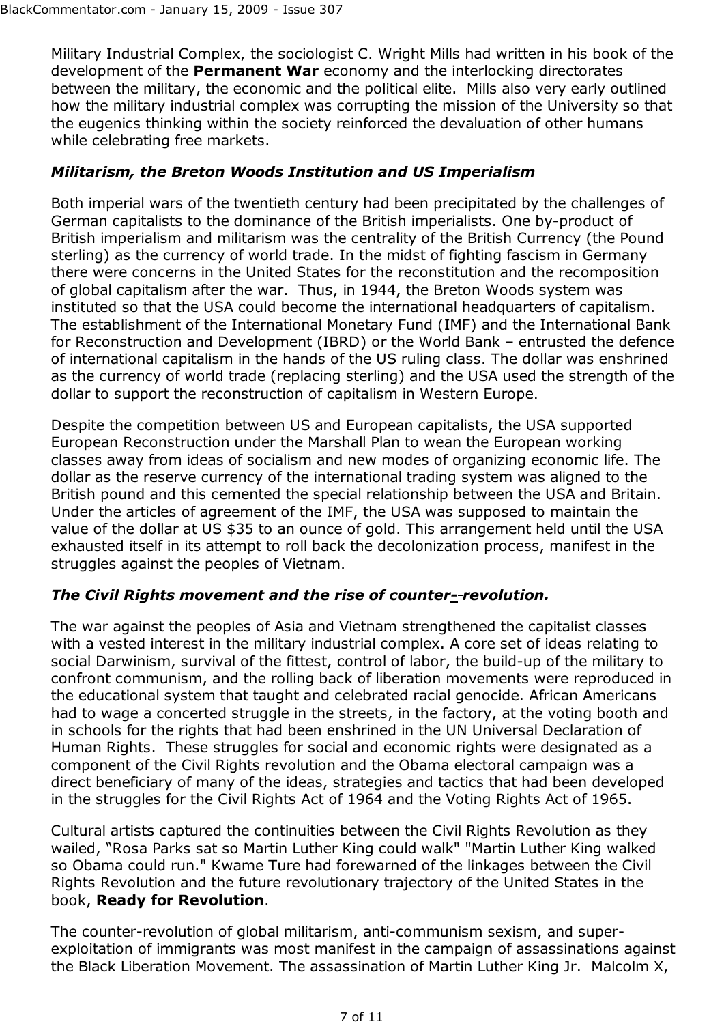Military Industrial Complex, the sociologist C. Wright Mills had written in his book of the development of the **Permanent War** economy and the interlocking directorates between the military, the economic and the political elite. Mills also very early outlined how the military industrial complex was corrupting the mission of the University so that the eugenics thinking within the society reinforced the devaluation of other humans while celebrating free markets.

## *Militarism, the Breton Woods Institution and US Imperialism*

Both imperial wars of the twentieth century had been precipitated by the challenges of German capitalists to the dominance of the British imperialists. One by-product of British imperialism and militarism was the centrality of the British Currency (the Pound sterling) as the currency of world trade. In the midst of fighting fascism in Germany there were concerns in the United States for the reconstitution and the recomposition of global capitalism after the war. Thus, in 1944, the Breton Woods system was instituted so that the USA could become the international headquarters of capitalism. The establishment of the International Monetary Fund (IMF) and the International Bank for Reconstruction and Development (IBRD) or the World Bank – entrusted the defence of international capitalism in the hands of the US ruling class. The dollar was enshrined as the currency of world trade (replacing sterling) and the USA used the strength of the dollar to support the reconstruction of capitalism in Western Europe.

Despite the competition between US and European capitalists, the USA supported European Reconstruction under the Marshall Plan to wean the European working classes away from ideas of socialism and new modes of organizing economic life. The dollar as the reserve currency of the international trading system was aligned to the British pound and this cemented the special relationship between the USA and Britain. Under the articles of agreement of the IMF, the USA was supposed to maintain the value of the dollar at US \$35 to an ounce of gold. This arrangement held until the USA exhausted itself in its attempt to roll back the decolonization process, manifest in the struggles against the peoples of Vietnam.

### *The Civil Rights movement and the rise of counter- revolution.*

The war against the peoples of Asia and Vietnam strengthened the capitalist classes with a vested interest in the military industrial complex. A core set of ideas relating to social Darwinism, survival of the fittest, control of labor, the build-up of the military to confront communism, and the rolling back of liberation movements were reproduced in the educational system that taught and celebrated racial genocide. African Americans had to wage a concerted struggle in the streets, in the factory, at the voting booth and in schools for the rights that had been enshrined in the UN Universal Declaration of Human Rights. These struggles for social and economic rights were designated as a component of the Civil Rights revolution and the Obama electoral campaign was a direct beneficiary of many of the ideas, strategies and tactics that had been developed in the struggles for the Civil Rights Act of 1964 and the Voting Rights Act of 1965.

Cultural artists captured the continuities between the Civil Rights Revolution as they wailed, "Rosa Parks sat so Martin Luther King could walk" "Martin Luther King walked so Obama could run." Kwame Ture had forewarned of the linkages between the Civil Rights Revolution and the future revolutionary trajectory of the United States in the book, **Ready for Revolution**.

The counter-revolution of global militarism, anti-communism sexism, and superexploitation of immigrants was most manifest in the campaign of assassinations against the Black Liberation Movement. The assassination of Martin Luther King Jr. Malcolm X,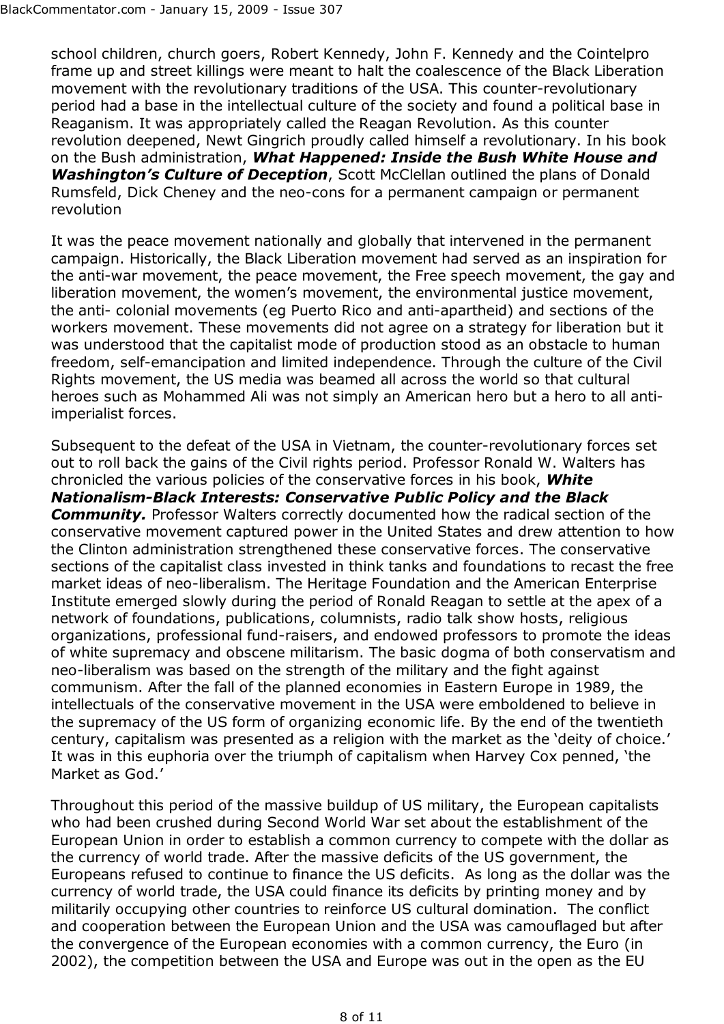school children, church goers, Robert Kennedy, John F. Kennedy and the Cointelpro frame up and street killings were meant to halt the coalescence of the Black Liberation movement with the revolutionary traditions of the USA. This counter-revolutionary period had a base in the intellectual culture of the society and found a political base in Reaganism. It was appropriately called the Reagan Revolution. As this counter revolution deepened, Newt Gingrich proudly called himself a revolutionary. In his book on the Bush administration, *What Happened: Inside the Bush White House and Washington's Culture of Deception*, Scott McClellan outlined the plans of Donald Rumsfeld, Dick Cheney and the neo-cons for a permanent campaign or permanent revolution

It was the peace movement nationally and globally that intervened in the permanent campaign. Historically, the Black Liberation movement had served as an inspiration for the anti-war movement, the peace movement, the Free speech movement, the gay and liberation movement, the women's movement, the environmental justice movement, the anti- colonial movements (eg Puerto Rico and anti-apartheid) and sections of the workers movement. These movements did not agree on a strategy for liberation but it was understood that the capitalist mode of production stood as an obstacle to human freedom, self-emancipation and limited independence. Through the culture of the Civil Rights movement, the US media was beamed all across the world so that cultural heroes such as Mohammed Ali was not simply an American hero but a hero to all antiimperialist forces.

Subsequent to the defeat of the USA in Vietnam, the counter-revolutionary forces set out to roll back the gains of the Civil rights period. Professor Ronald W. Walters has chronicled the various policies of the conservative forces in his book, *White Nationalism-Black Interests: Conservative Public Policy and the Black Community.* Professor Walters correctly documented how the radical section of the conservative movement captured power in the United States and drew attention to how the Clinton administration strengthened these conservative forces. The conservative sections of the capitalist class invested in think tanks and foundations to recast the free market ideas of neo-liberalism. The Heritage Foundation and the American Enterprise Institute emerged slowly during the period of Ronald Reagan to settle at the apex of a network of foundations, publications, columnists, radio talk show hosts, religious organizations, professional fund-raisers, and endowed professors to promote the ideas of white supremacy and obscene militarism. The basic dogma of both conservatism and neo-liberalism was based on the strength of the military and the fight against communism. After the fall of the planned economies in Eastern Europe in 1989, the intellectuals of the conservative movement in the USA were emboldened to believe in the supremacy of the US form of organizing economic life. By the end of the twentieth century, capitalism was presented as a religion with the market as the 'deity of choice.' It was in this euphoria over the triumph of capitalism when Harvey Cox penned, 'the Market as God.'

Throughout this period of the massive buildup of US military, the European capitalists who had been crushed during Second World War set about the establishment of the European Union in order to establish a common currency to compete with the dollar as the currency of world trade. After the massive deficits of the US government, the Europeans refused to continue to finance the US deficits. As long as the dollar was the currency of world trade, the USA could finance its deficits by printing money and by militarily occupying other countries to reinforce US cultural domination. The conflict and cooperation between the European Union and the USA was camouflaged but after the convergence of the European economies with a common currency, the Euro (in 2002), the competition between the USA and Europe was out in the open as the EU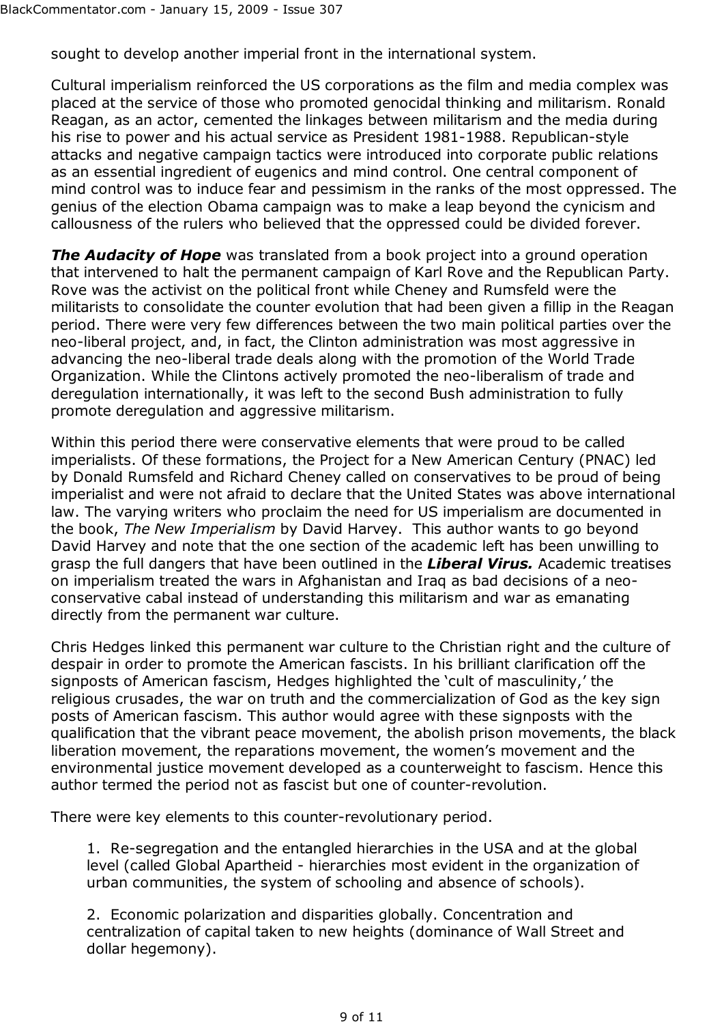sought to develop another imperial front in the international system.

Cultural imperialism reinforced the US corporations as the film and media complex was placed at the service of those who promoted genocidal thinking and militarism. Ronald Reagan, as an actor, cemented the linkages between militarism and the media during his rise to power and his actual service as President 1981-1988. Republican-style attacks and negative campaign tactics were introduced into corporate public relations as an essential ingredient of eugenics and mind control. One central component of mind control was to induce fear and pessimism in the ranks of the most oppressed. The genius of the election Obama campaign was to make a leap beyond the cynicism and callousness of the rulers who believed that the oppressed could be divided forever.

**The Audacity of Hope** was translated from a book project into a ground operation that intervened to halt the permanent campaign of Karl Rove and the Republican Party. Rove was the activist on the political front while Cheney and Rumsfeld were the militarists to consolidate the counter evolution that had been given a fillip in the Reagan period. There were very few differences between the two main political parties over the neo-liberal project, and, in fact, the Clinton administration was most aggressive in advancing the neo-liberal trade deals along with the promotion of the World Trade Organization. While the Clintons actively promoted the neo-liberalism of trade and deregulation internationally, it was left to the second Bush administration to fully promote deregulation and aggressive militarism.

Within this period there were conservative elements that were proud to be called imperialists. Of these formations, the Project for a New American Century (PNAC) led by Donald Rumsfeld and Richard Cheney called on conservatives to be proud of being imperialist and were not afraid to declare that the United States was above international law. The varying writers who proclaim the need for US imperialism are documented in the book, *The New Imperialism* by David Harvey. This author wants to go beyond David Harvey and note that the one section of the academic left has been unwilling to grasp the full dangers that have been outlined in the *Liberal Virus.* Academic treatises on imperialism treated the wars in Afghanistan and Iraq as bad decisions of a neoconservative cabal instead of understanding this militarism and war as emanating directly from the permanent war culture.

Chris Hedges linked this permanent war culture to the Christian right and the culture of despair in order to promote the American fascists. In his brilliant clarification off the signposts of American fascism, Hedges highlighted the 'cult of masculinity,' the religious crusades, the war on truth and the commercialization of God as the key sign posts of American fascism. This author would agree with these signposts with the qualification that the vibrant peace movement, the abolish prison movements, the black liberation movement, the reparations movement, the women's movement and the environmental justice movement developed as a counterweight to fascism. Hence this author termed the period not as fascist but one of counter-revolution.

There were key elements to this counter-revolutionary period.

1. Re-segregation and the entangled hierarchies in the USA and at the global level (called Global Apartheid - hierarchies most evident in the organization of urban communities, the system of schooling and absence of schools).

2. Economic polarization and disparities globally. Concentration and centralization of capital taken to new heights (dominance of Wall Street and dollar hegemony).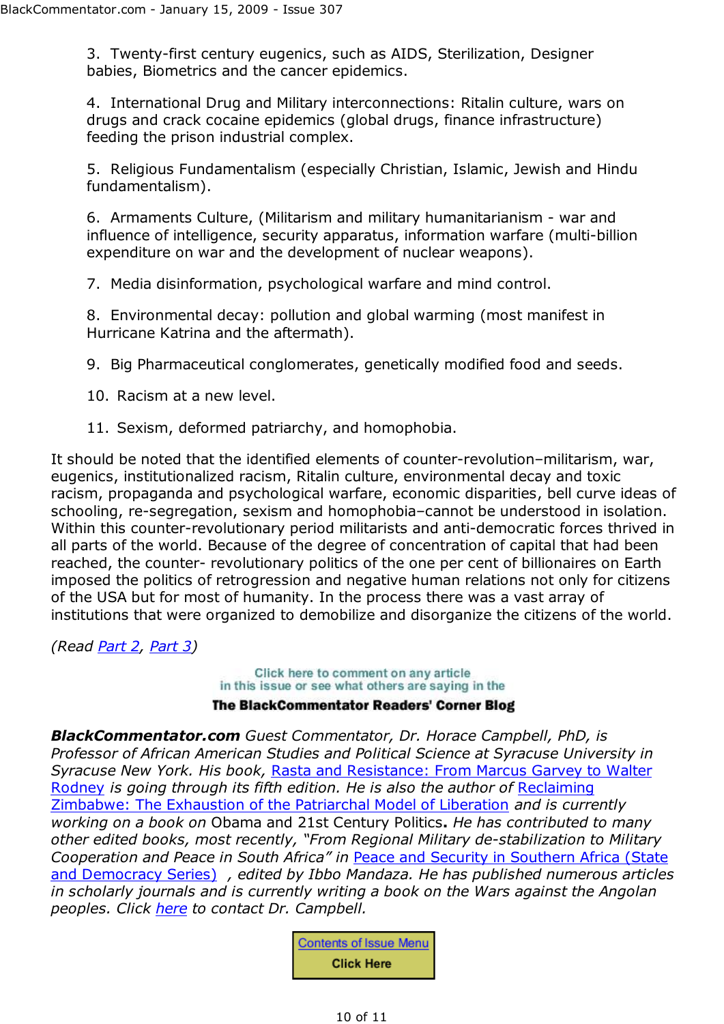3. Twenty-first century eugenics, such as AIDS, Sterilization, Designer babies, Biometrics and the cancer epidemics.

4. International Drug and Military interconnections: Ritalin culture, wars on drugs and crack cocaine epidemics (global drugs, finance infrastructure) feeding the prison industrial complex.

5. Religious Fundamentalism (especially Christian, Islamic, Jewish and Hindu fundamentalism).

6. Armaments Culture, (Militarism and military humanitarianism - war and influence of intelligence, security apparatus, information warfare (multi-billion expenditure on war and the development of nuclear weapons).

7. Media disinformation, psychological warfare and mind control.

8. Environmental decay: pollution and global warming (most manifest in Hurricane Katrina and the aftermath).

9. Big Pharmaceutical conglomerates, genetically modified food and seeds.

- 10. Racism at a new level.
- 11. Sexism, deformed patriarchy, and homophobia.

It should be noted that the identified elements of counter-revolution–militarism, war, eugenics, institutionalized racism, Ritalin culture, environmental decay and toxic racism, propaganda and psychological warfare, economic disparities, bell curve ideas of schooling, re-segregation, sexism and homophobia–cannot be understood in isolation. Within this counter-revolutionary period militarists and anti-democratic forces thrived in all parts of the world. Because of the degree of concentration of capital that had been reached, the counter- revolutionary politics of the one per cent of billionaires on Earth imposed the politics of retrogression and negative human relations not only for citizens of the USA but for most of humanity. In the process there was a vast array of institutions that were organized to demobilize and disorganize the citizens of the world.

*(Read Part 2, Part 3)*

Click here to comment on any article in this issue or see what others are saying in the **The BlackCommentator Readers' Corner Blog** 

*BlackCommentator.com Guest Commentator, Dr. Horace Campbell, PhD, is Professor of African American Studies and Political Science at Syracuse University in Syracuse New York. His book,* Rasta and Resistance: From Marcus Garvey to Walter Rodney *is going through its fifth edition. He is also the author of* Reclaiming Zimbabwe: The Exhaustion of the Patriarchal Model of Liberation *and is currently working on a book on* Obama and 21st Century Politics**.** *He has contributed to many other edited books, most recently, "From Regional Military de-stabilization to Military Cooperation and Peace in South Africa" in* Peace and Security in Southern Africa (State and Democracy Series) *, edited by Ibbo Mandaza. He has published numerous articles in scholarly journals and is currently writing a book on the Wars against the Angolan peoples. Click here to contact Dr. Campbell.*

> **Contents of Issue Menu Click Here**